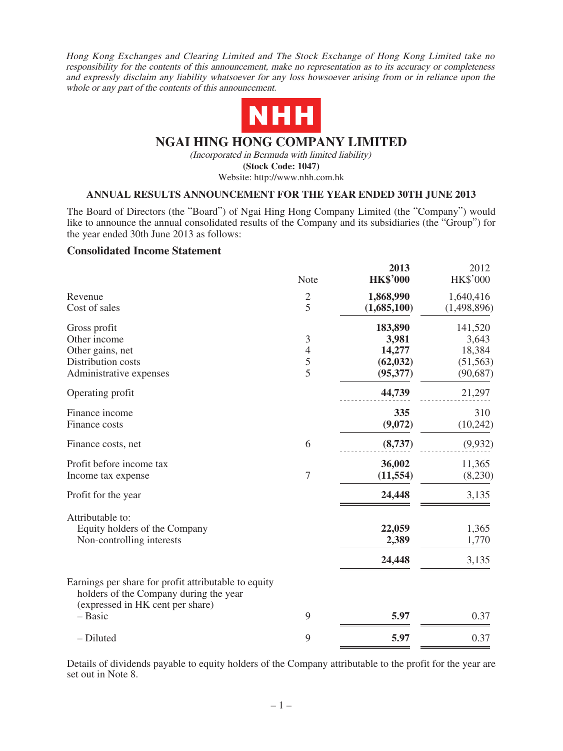Hong Kong Exchanges and Clearing Limited and The Stock Exchange of Hong Kong Limited take no responsibility for the contents of this announcement, make no representation as to its accuracy or completeness and expressly disclaim any liability whatsoever for any loss howsoever arising from or in reliance upon the whole or any part of the contents of this announcement.



# **NGAI HING HONG COMPANY LIMITED**

(Incorporated in Bermuda with limited liability)

**(Stock Code: 1047)**

Website: http://www.nhh.com.hk

## **ANNUAL RESULTS ANNOUNCEMENT FOR THE YEAR ENDED 30TH JUNE 2013**

The Board of Directors (the "Board") of Ngai Hing Hong Company Limited (the "Company") would like to announce the annual consolidated results of the Company and its subsidiaries (the "Group") for the year ended 30th June 2013 as follows:

## **Consolidated Income Statement**

|                                                                                                                                    | Note                             | 2013<br><b>HK\$'000</b>    | 2012<br><b>HK\$'000</b>    |
|------------------------------------------------------------------------------------------------------------------------------------|----------------------------------|----------------------------|----------------------------|
| Revenue<br>Cost of sales                                                                                                           | $\overline{c}$<br>5              | 1,868,990<br>(1,685,100)   | 1,640,416<br>(1,498,896)   |
| Gross profit<br>Other income<br>Other gains, net                                                                                   | $\mathfrak{Z}$<br>$\overline{4}$ | 183,890<br>3,981<br>14,277 | 141,520<br>3,643<br>18,384 |
| Distribution costs<br>Administrative expenses                                                                                      | $rac{5}{5}$                      | (62, 032)<br>(95, 377)     | (51, 563)<br>(90, 687)     |
| Operating profit                                                                                                                   |                                  | 44,739                     | 21,297                     |
| Finance income<br>Finance costs                                                                                                    |                                  | 335<br>(9,072)             | 310<br>(10, 242)           |
| Finance costs, net                                                                                                                 | 6                                | (8,737)                    | (9,932)                    |
| Profit before income tax<br>Income tax expense                                                                                     | $\overline{7}$                   | 36,002<br>(11, 554)        | 11,365<br>(8,230)          |
| Profit for the year                                                                                                                |                                  | 24,448                     | 3,135                      |
| Attributable to:<br>Equity holders of the Company<br>Non-controlling interests                                                     |                                  | 22,059<br>2,389<br>24,448  | 1,365<br>1,770<br>3,135    |
| Earnings per share for profit attributable to equity<br>holders of the Company during the year<br>(expressed in HK cent per share) |                                  |                            |                            |
| - Basic                                                                                                                            | 9                                | 5.97                       | 0.37                       |
| - Diluted                                                                                                                          | 9                                | 5.97                       | 0.37                       |

Details of dividends payable to equity holders of the Company attributable to the profit for the year are set out in Note 8.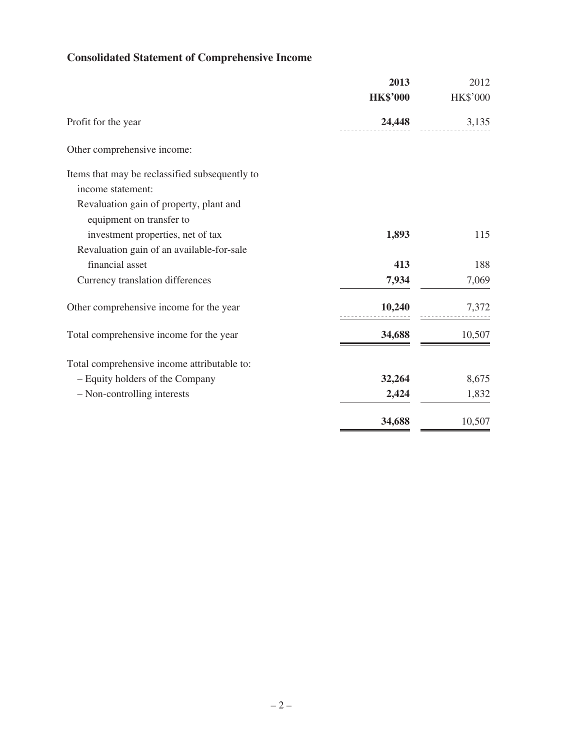# **Consolidated Statement of Comprehensive Income**

|                                                | 2013            | 2012            |
|------------------------------------------------|-----------------|-----------------|
|                                                | <b>HK\$'000</b> | <b>HK\$'000</b> |
| Profit for the year                            | 24,448          | 3,135           |
| Other comprehensive income:                    |                 |                 |
| Items that may be reclassified subsequently to |                 |                 |
| income statement:                              |                 |                 |
| Revaluation gain of property, plant and        |                 |                 |
| equipment on transfer to                       |                 |                 |
| investment properties, net of tax              | 1,893           | 115             |
| Revaluation gain of an available-for-sale      |                 |                 |
| financial asset                                | 413             | 188             |
| Currency translation differences               | 7,934           | 7,069           |
| Other comprehensive income for the year        | 10,240          | 7,372           |
| Total comprehensive income for the year        | 34,688          | 10,507          |
| Total comprehensive income attributable to:    |                 |                 |
| - Equity holders of the Company                | 32,264          | 8,675           |
| - Non-controlling interests                    | 2,424           | 1,832           |
|                                                | 34,688          | 10,507          |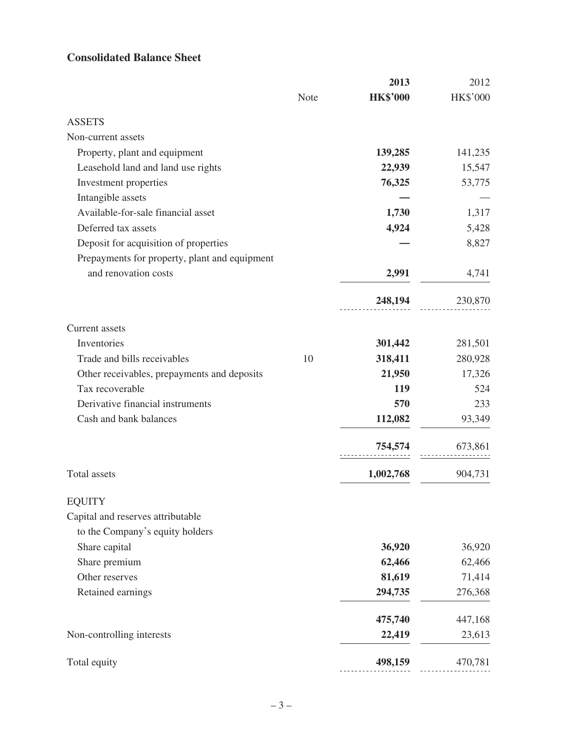# **Consolidated Balance Sheet**

|                                               |      | 2013            | 2012     |
|-----------------------------------------------|------|-----------------|----------|
|                                               | Note | <b>HK\$'000</b> | HK\$'000 |
| <b>ASSETS</b>                                 |      |                 |          |
| Non-current assets                            |      |                 |          |
| Property, plant and equipment                 |      | 139,285         | 141,235  |
| Leasehold land and land use rights            |      | 22,939          | 15,547   |
| Investment properties                         |      | 76,325          | 53,775   |
| Intangible assets                             |      |                 |          |
| Available-for-sale financial asset            |      | 1,730           | 1,317    |
| Deferred tax assets                           |      | 4,924           | 5,428    |
| Deposit for acquisition of properties         |      |                 | 8,827    |
| Prepayments for property, plant and equipment |      |                 |          |
| and renovation costs                          |      | 2,991           | 4,741    |
|                                               |      | 248,194         | 230,870  |
| Current assets                                |      |                 |          |
| Inventories                                   |      | 301,442         | 281,501  |
| Trade and bills receivables                   | 10   | 318,411         | 280,928  |
| Other receivables, prepayments and deposits   |      | 21,950          | 17,326   |
| Tax recoverable                               |      | 119             | 524      |
| Derivative financial instruments              |      | 570             | 233      |
| Cash and bank balances                        |      | 112,082         | 93,349   |
|                                               |      | 754,574         | 673,861  |
| Total assets                                  |      | 1,002,768       | 904,731  |
| <b>EQUITY</b>                                 |      |                 |          |
| Capital and reserves attributable             |      |                 |          |
| to the Company's equity holders               |      |                 |          |
| Share capital                                 |      | 36,920          | 36,920   |
| Share premium                                 |      | 62,466          | 62,466   |
| Other reserves                                |      | 81,619          | 71,414   |
| Retained earnings                             |      | 294,735         | 276,368  |
|                                               |      | 475,740         | 447,168  |
| Non-controlling interests                     |      | 22,419          | 23,613   |
| Total equity                                  |      | 498,159         | 470,781  |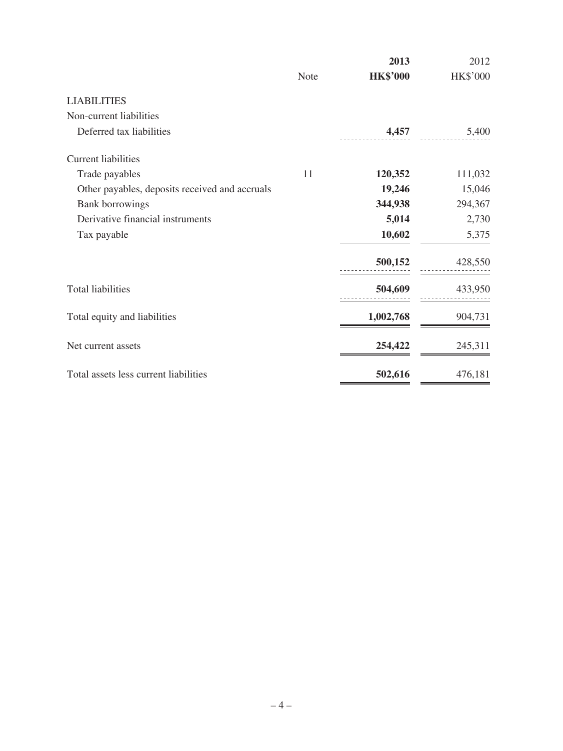|                                                | <b>Note</b> | 2013<br><b>HK\$'000</b> | 2012<br>HK\$'000 |
|------------------------------------------------|-------------|-------------------------|------------------|
| <b>LIABILITIES</b>                             |             |                         |                  |
| Non-current liabilities                        |             |                         |                  |
| Deferred tax liabilities                       |             | 4,457                   | 5,400            |
| <b>Current liabilities</b>                     |             |                         |                  |
| Trade payables                                 | 11          | 120,352                 | 111,032          |
| Other payables, deposits received and accruals |             | 19,246                  | 15,046           |
| <b>Bank</b> borrowings                         |             | 344,938                 | 294,367          |
| Derivative financial instruments               |             | 5,014                   | 2,730            |
| Tax payable                                    |             | 10,602                  | 5,375            |
|                                                |             | 500,152                 | 428,550          |
| <b>Total liabilities</b>                       |             | 504,609                 | 433,950          |
| Total equity and liabilities                   |             | 1,002,768               | 904,731          |
| Net current assets                             |             | 254,422                 | 245,311          |
| Total assets less current liabilities          |             | 502,616                 | 476,181          |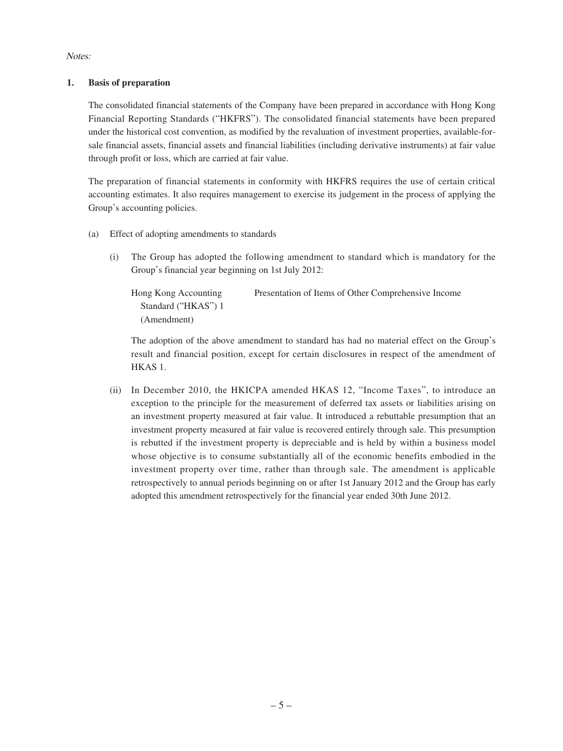Notes:

## **1. Basis of preparation**

The consolidated financial statements of the Company have been prepared in accordance with Hong Kong Financial Reporting Standards ("HKFRS"). The consolidated financial statements have been prepared under the historical cost convention, as modified by the revaluation of investment properties, available-forsale financial assets, financial assets and financial liabilities (including derivative instruments) at fair value through profit or loss, which are carried at fair value.

The preparation of financial statements in conformity with HKFRS requires the use of certain critical accounting estimates. It also requires management to exercise its judgement in the process of applying the Group's accounting policies.

- (a) Effect of adopting amendments to standards
	- (i) The Group has adopted the following amendment to standard which is mandatory for the Group's financial year beginning on 1st July 2012:

Hong Kong Accounting Standard ("HKAS") 1 (Amendment) Presentation of Items of Other Comprehensive Income

The adoption of the above amendment to standard has had no material effect on the Group's result and financial position, except for certain disclosures in respect of the amendment of HKAS 1.

(ii) In December 2010, the HKICPA amended HKAS 12, "Income Taxes", to introduce an exception to the principle for the measurement of deferred tax assets or liabilities arising on an investment property measured at fair value. It introduced a rebuttable presumption that an investment property measured at fair value is recovered entirely through sale. This presumption is rebutted if the investment property is depreciable and is held by within a business model whose objective is to consume substantially all of the economic benefits embodied in the investment property over time, rather than through sale. The amendment is applicable retrospectively to annual periods beginning on or after 1st January 2012 and the Group has early adopted this amendment retrospectively for the financial year ended 30th June 2012.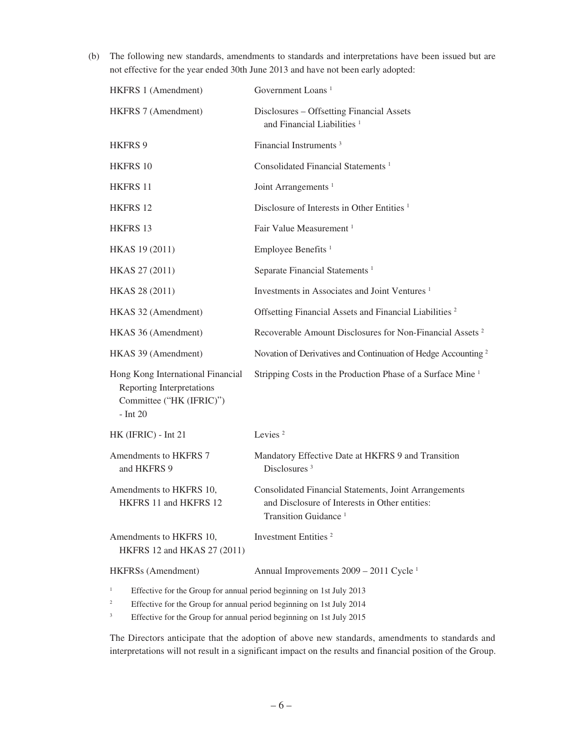(b) The following new standards, amendments to standards and interpretations have been issued but are not effective for the year ended 30th June 2013 and have not been early adopted:

| HKFRS 1 (Amendment)                                                                                             | Government Loans <sup>1</sup>                                                                                                               |
|-----------------------------------------------------------------------------------------------------------------|---------------------------------------------------------------------------------------------------------------------------------------------|
| HKFRS 7 (Amendment)                                                                                             | Disclosures - Offsetting Financial Assets<br>and Financial Liabilities <sup>1</sup>                                                         |
| HKFRS 9                                                                                                         | Financial Instruments <sup>3</sup>                                                                                                          |
| HKFRS 10                                                                                                        | Consolidated Financial Statements <sup>1</sup>                                                                                              |
| HKFRS 11                                                                                                        | Joint Arrangements <sup>1</sup>                                                                                                             |
| <b>HKFRS 12</b>                                                                                                 | Disclosure of Interests in Other Entities <sup>1</sup>                                                                                      |
| HKFRS 13                                                                                                        | Fair Value Measurement <sup>1</sup>                                                                                                         |
| HKAS 19 (2011)                                                                                                  | Employee Benefits <sup>1</sup>                                                                                                              |
| HKAS 27 (2011)                                                                                                  | Separate Financial Statements <sup>1</sup>                                                                                                  |
| HKAS 28 (2011)                                                                                                  | Investments in Associates and Joint Ventures <sup>1</sup>                                                                                   |
| HKAS 32 (Amendment)                                                                                             | Offsetting Financial Assets and Financial Liabilities <sup>2</sup>                                                                          |
| HKAS 36 (Amendment)                                                                                             | Recoverable Amount Disclosures for Non-Financial Assets <sup>2</sup>                                                                        |
| HKAS 39 (Amendment)                                                                                             | Novation of Derivatives and Continuation of Hedge Accounting <sup>2</sup>                                                                   |
| Hong Kong International Financial<br><b>Reporting Interpretations</b><br>Committee ("HK (IFRIC)")<br>$-$ Int 20 | Stripping Costs in the Production Phase of a Surface Mine <sup>1</sup>                                                                      |
| HK (IFRIC) - Int 21                                                                                             | Levies <sup>2</sup>                                                                                                                         |
| Amendments to HKFRS 7<br>and HKFRS 9                                                                            | Mandatory Effective Date at HKFRS 9 and Transition<br>Disclosures <sup>3</sup>                                                              |
| Amendments to HKFRS 10,<br>HKFRS 11 and HKFRS 12                                                                | Consolidated Financial Statements, Joint Arrangements<br>and Disclosure of Interests in Other entities:<br>Transition Guidance <sup>1</sup> |
| Amendments to HKFRS 10,<br>HKFRS 12 and HKAS 27 (2011)                                                          | Investment Entities <sup>2</sup>                                                                                                            |
| HKFRSs (Amendment)                                                                                              | Annual Improvements 2009 - 2011 Cycle <sup>1</sup>                                                                                          |
| $\mathbf{1}$<br>Effective for the Group for annual period beginning on 1st July 2013                            |                                                                                                                                             |

<sup>2</sup> Effective for the Group for annual period beginning on 1st July 2014

<sup>3</sup> Effective for the Group for annual period beginning on 1st July 2015

The Directors anticipate that the adoption of above new standards, amendments to standards and interpretations will not result in a significant impact on the results and financial position of the Group.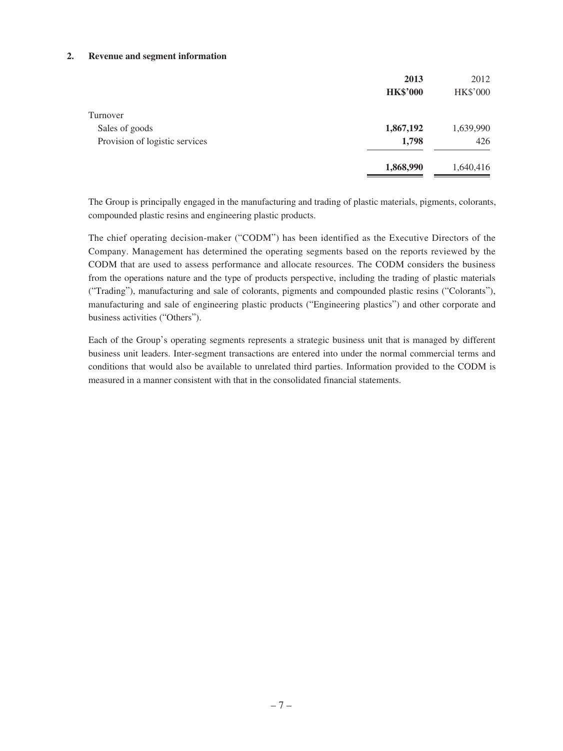### **2. Revenue and segment information**

|                                | 2013            | 2012            |
|--------------------------------|-----------------|-----------------|
|                                | <b>HK\$'000</b> | <b>HK\$'000</b> |
| Turnover                       |                 |                 |
| Sales of goods                 | 1,867,192       | 1,639,990       |
| Provision of logistic services | 1,798           | 426             |
|                                | 1,868,990       | 1,640,416       |

The Group is principally engaged in the manufacturing and trading of plastic materials, pigments, colorants, compounded plastic resins and engineering plastic products.

The chief operating decision-maker ("CODM") has been identified as the Executive Directors of the Company. Management has determined the operating segments based on the reports reviewed by the CODM that are used to assess performance and allocate resources. The CODM considers the business from the operations nature and the type of products perspective, including the trading of plastic materials ("Trading"), manufacturing and sale of colorants, pigments and compounded plastic resins ("Colorants"), manufacturing and sale of engineering plastic products ("Engineering plastics") and other corporate and business activities ("Others").

Each of the Group's operating segments represents a strategic business unit that is managed by different business unit leaders. Inter-segment transactions are entered into under the normal commercial terms and conditions that would also be available to unrelated third parties. Information provided to the CODM is measured in a manner consistent with that in the consolidated financial statements.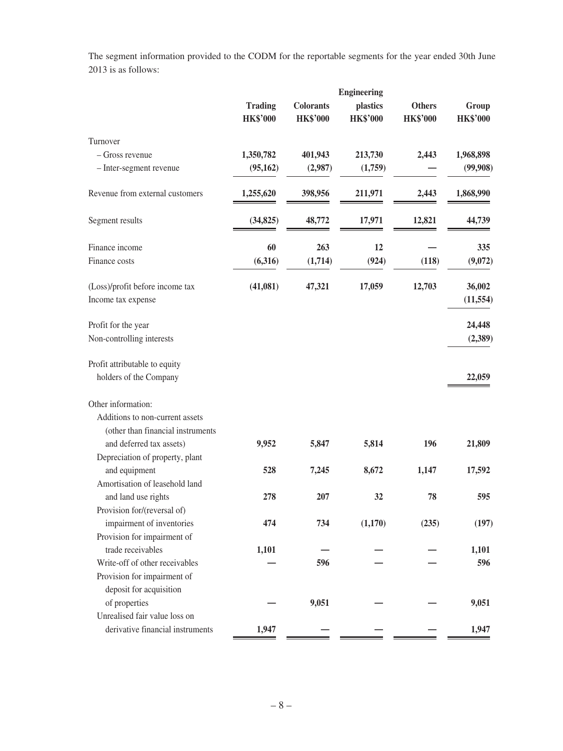The segment information provided to the CODM for the reportable segments for the year ended 30th June 2013 is as follows:

|                                                       | <b>Engineering</b>                |                                     |                             |                                  |                          |
|-------------------------------------------------------|-----------------------------------|-------------------------------------|-----------------------------|----------------------------------|--------------------------|
|                                                       | <b>Trading</b><br><b>HK\$'000</b> | <b>Colorants</b><br><b>HK\$'000</b> | plastics<br><b>HK\$'000</b> | <b>Others</b><br><b>HK\$'000</b> | Group<br><b>HK\$'000</b> |
| Turnover                                              |                                   |                                     |                             |                                  |                          |
| - Gross revenue                                       | 1,350,782                         | 401,943                             | 213,730                     | 2,443                            | 1,968,898                |
| - Inter-segment revenue                               | (95, 162)                         | (2,987)                             | (1,759)                     |                                  | (99,908)                 |
| Revenue from external customers                       | 1,255,620                         | 398,956                             | 211,971                     | 2,443                            | 1,868,990                |
| Segment results                                       | (34, 825)                         | 48,772                              | 17,971                      | 12,821                           | 44,739                   |
| Finance income                                        | 60                                | 263                                 | 12                          |                                  | 335                      |
| Finance costs                                         | (6,316)                           | (1,714)                             | (924)                       | (118)                            | (9,072)                  |
| (Loss)/profit before income tax<br>Income tax expense | (41,081)                          | 47,321                              | 17,059                      | 12,703                           | 36,002<br>(11, 554)      |
| Profit for the year                                   |                                   |                                     |                             |                                  | 24,448                   |
| Non-controlling interests                             |                                   |                                     |                             |                                  | (2,389)                  |
| Profit attributable to equity                         |                                   |                                     |                             |                                  |                          |
| holders of the Company                                |                                   |                                     |                             |                                  | 22,059                   |
| Other information:                                    |                                   |                                     |                             |                                  |                          |
| Additions to non-current assets                       |                                   |                                     |                             |                                  |                          |
| (other than financial instruments                     |                                   |                                     |                             |                                  |                          |
| and deferred tax assets)                              | 9,952                             | 5,847                               | 5,814                       | 196                              | 21,809                   |
| Depreciation of property, plant                       |                                   |                                     |                             |                                  |                          |
| and equipment                                         | 528                               | 7,245                               | 8,672                       | 1,147                            | 17,592                   |
| Amortisation of leasehold land                        |                                   |                                     |                             |                                  |                          |
| and land use rights                                   | 278                               | 207                                 | 32                          | 78                               | 595                      |
| Provision for/(reversal of)                           |                                   |                                     |                             |                                  |                          |
| impairment of inventories                             | 474                               | 734                                 | (1,170)                     | (235)                            | (197)                    |
| Provision for impairment of                           |                                   |                                     |                             |                                  |                          |
| trade receivables                                     | 1,101                             |                                     |                             |                                  | 1,101                    |
| Write-off of other receivables                        |                                   | 596                                 |                             |                                  | 596                      |
| Provision for impairment of                           |                                   |                                     |                             |                                  |                          |
| deposit for acquisition                               |                                   |                                     |                             |                                  |                          |
| of properties                                         |                                   | 9,051                               |                             |                                  | 9,051                    |
| Unrealised fair value loss on                         |                                   |                                     |                             |                                  |                          |
| derivative financial instruments                      | 1,947                             |                                     |                             |                                  | 1,947                    |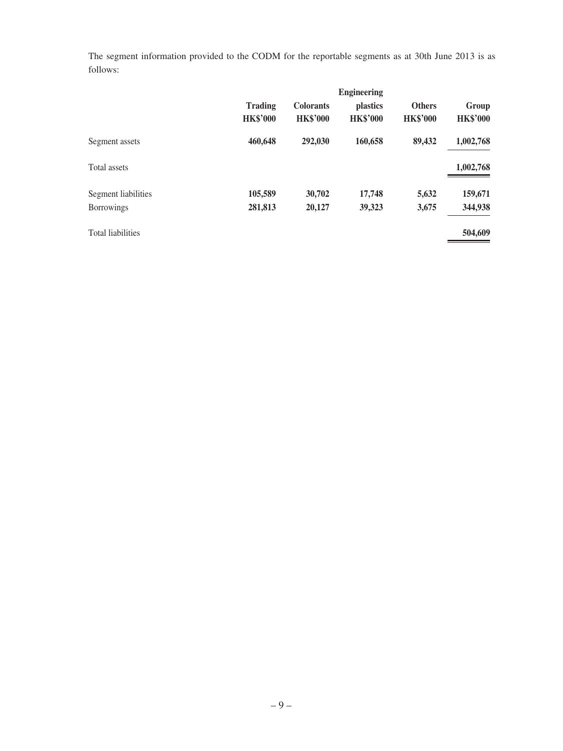The segment information provided to the CODM for the reportable segments as at 30th June 2013 is as follows:

|                          | <b>Engineering</b>                |                                     |                                    |                                  |                          |
|--------------------------|-----------------------------------|-------------------------------------|------------------------------------|----------------------------------|--------------------------|
|                          | <b>Trading</b><br><b>HK\$'000</b> | <b>Colorants</b><br><b>HK\$'000</b> | <i>plastics</i><br><b>HK\$'000</b> | <b>Others</b><br><b>HK\$'000</b> | Group<br><b>HK\$'000</b> |
| Segment assets           | 460,648                           | 292,030                             | 160,658                            | 89,432                           | 1,002,768                |
| Total assets             |                                   |                                     |                                    |                                  | 1,002,768                |
| Segment liabilities      | 105,589                           | 30,702                              | 17,748                             | 5,632                            | 159,671                  |
| <b>Borrowings</b>        | 281,813                           | 20,127                              | 39,323                             | 3,675                            | 344,938                  |
| <b>Total liabilities</b> |                                   |                                     |                                    |                                  | 504,609                  |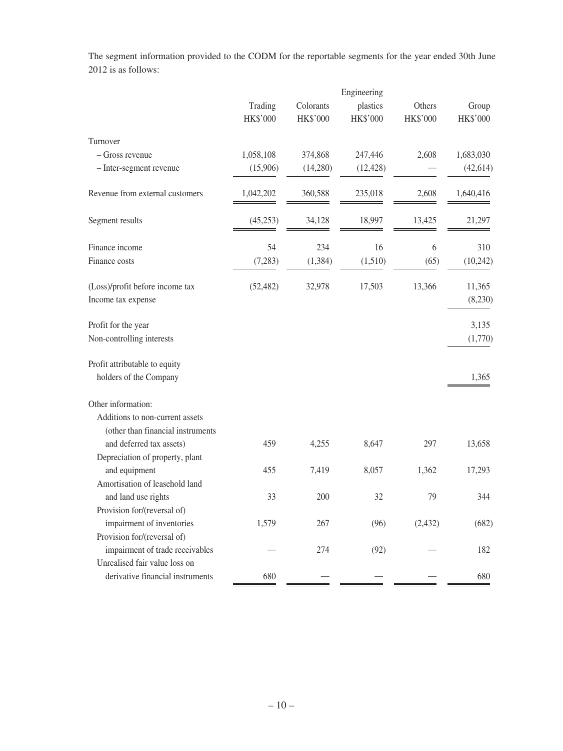The segment information provided to the CODM for the reportable segments for the year ended 30th June 2012 is as follows:

|                                                                  | Engineering         |                       |                      |                    |                   |
|------------------------------------------------------------------|---------------------|-----------------------|----------------------|--------------------|-------------------|
|                                                                  | Trading<br>HK\$'000 | Colorants<br>HK\$'000 | plastics<br>HK\$'000 | Others<br>HK\$'000 | Group<br>HK\$'000 |
| Turnover                                                         |                     |                       |                      |                    |                   |
| - Gross revenue                                                  | 1,058,108           | 374,868               | 247,446              | 2,608              | 1,683,030         |
| - Inter-segment revenue                                          | (15,906)            | (14,280)              | (12, 428)            |                    | (42, 614)         |
| Revenue from external customers                                  | 1,042,202           | 360,588               | 235,018              | 2,608              | 1,640,416         |
| Segment results                                                  | (45,253)            | 34,128                | 18,997               | 13,425             | 21,297            |
| Finance income                                                   | 54                  | 234                   | 16                   | 6                  | 310               |
| Finance costs                                                    | (7,283)             | (1, 384)              | (1,510)              | (65)               | (10, 242)         |
| (Loss)/profit before income tax<br>Income tax expense            | (52, 482)           | 32,978                | 17,503               | 13,366             | 11,365<br>(8,230) |
| Profit for the year                                              |                     |                       |                      |                    | 3,135             |
| Non-controlling interests                                        |                     |                       |                      |                    | (1,770)           |
| Profit attributable to equity                                    |                     |                       |                      |                    |                   |
| holders of the Company                                           |                     |                       |                      |                    | 1,365             |
| Other information:                                               |                     |                       |                      |                    |                   |
| Additions to non-current assets                                  |                     |                       |                      |                    |                   |
| (other than financial instruments                                |                     |                       |                      |                    |                   |
| and deferred tax assets)                                         | 459                 | 4,255                 | 8,647                | 297                | 13,658            |
| Depreciation of property, plant                                  |                     |                       |                      |                    |                   |
| and equipment                                                    | 455                 | 7,419                 | 8,057                | 1,362              | 17,293            |
| Amortisation of leasehold land                                   |                     |                       |                      |                    |                   |
| and land use rights                                              | 33                  | 200                   | 32                   | 79                 | 344               |
| Provision for/(reversal of)                                      |                     |                       |                      |                    |                   |
| impairment of inventories                                        | 1,579               | 267                   | (96)                 | (2, 432)           | (682)             |
| Provision for/(reversal of)                                      |                     |                       |                      |                    |                   |
| impairment of trade receivables<br>Unrealised fair value loss on |                     | 274                   | (92)                 |                    | 182               |
| derivative financial instruments                                 |                     |                       |                      |                    |                   |
|                                                                  | 680                 |                       |                      |                    | 680               |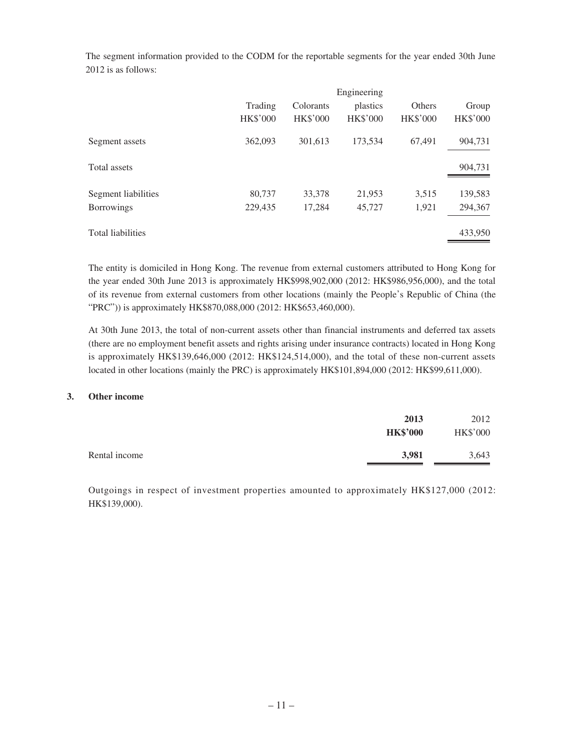| The segment information provided to the CODM for the reportable segments for the year ended 30th June |             |
|-------------------------------------------------------------------------------------------------------|-------------|
| 2012 is as follows:                                                                                   |             |
|                                                                                                       |             |
|                                                                                                       | Engineering |

| $\mu$           |                 |                 |                 |                 |
|-----------------|-----------------|-----------------|-----------------|-----------------|
| Trading         | Colorants       | plastics        | Others          | Group           |
| <b>HK\$'000</b> | <b>HK\$'000</b> | <b>HK\$'000</b> | <b>HK\$'000</b> | <b>HK\$'000</b> |
| 362,093         | 301,613         | 173,534         | 67,491          | 904,731         |
|                 |                 |                 |                 | 904,731         |
| 80,737          | 33,378          | 21,953          | 3,515           | 139,583         |
| 229,435         | 17,284          | 45,727          | 1,921           | 294,367         |
|                 |                 |                 |                 | 433,950         |
|                 |                 |                 |                 |                 |

The entity is domiciled in Hong Kong. The revenue from external customers attributed to Hong Kong for the year ended 30th June 2013 is approximately HK\$998,902,000 (2012: HK\$986,956,000), and the total of its revenue from external customers from other locations (mainly the People's Republic of China (the "PRC")) is approximately HK\$870,088,000 (2012: HK\$653,460,000).

At 30th June 2013, the total of non-current assets other than financial instruments and deferred tax assets (there are no employment benefit assets and rights arising under insurance contracts) located in Hong Kong is approximately HK\$139,646,000 (2012: HK\$124,514,000), and the total of these non-current assets located in other locations (mainly the PRC) is approximately HK\$101,894,000 (2012: HK\$99,611,000).

## **3. Other income**

|               | 2013<br><b>HK\$'000</b> | 2012<br><b>HK\$'000</b> |
|---------------|-------------------------|-------------------------|
| Rental income | 3,981                   | 3,643                   |

Outgoings in respect of investment properties amounted to approximately HK\$127,000 (2012: HK\$139,000).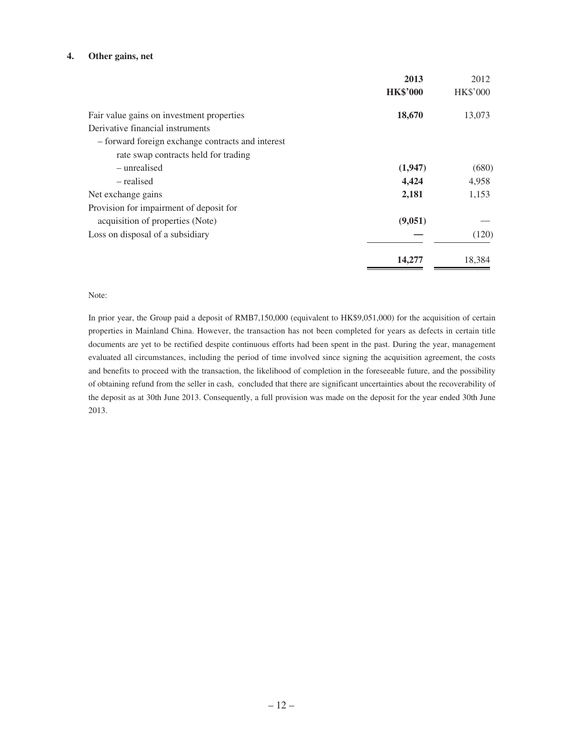#### **4. Other gains, net**

|                                                   | 2013            | 2012            |
|---------------------------------------------------|-----------------|-----------------|
|                                                   | <b>HK\$'000</b> | <b>HK\$'000</b> |
| Fair value gains on investment properties         | 18,670          | 13,073          |
| Derivative financial instruments                  |                 |                 |
| - forward foreign exchange contracts and interest |                 |                 |
| rate swap contracts held for trading              |                 |                 |
| – unrealised                                      | (1,947)         | (680)           |
| - realised                                        | 4,424           | 4,958           |
| Net exchange gains                                | 2,181           | 1,153           |
| Provision for impairment of deposit for           |                 |                 |
| acquisition of properties (Note)                  | (9,051)         |                 |
| Loss on disposal of a subsidiary                  |                 | (120)           |
|                                                   | 14,277          | 18,384          |

#### Note:

In prior year, the Group paid a deposit of RMB7,150,000 (equivalent to HK\$9,051,000) for the acquisition of certain properties in Mainland China. However, the transaction has not been completed for years as defects in certain title documents are yet to be rectified despite continuous efforts had been spent in the past. During the year, management evaluated all circumstances, including the period of time involved since signing the acquisition agreement, the costs and benefits to proceed with the transaction, the likelihood of completion in the foreseeable future, and the possibility of obtaining refund from the seller in cash, concluded that there are significant uncertainties about the recoverability of the deposit as at 30th June 2013. Consequently, a full provision was made on the deposit for the year ended 30th June 2013.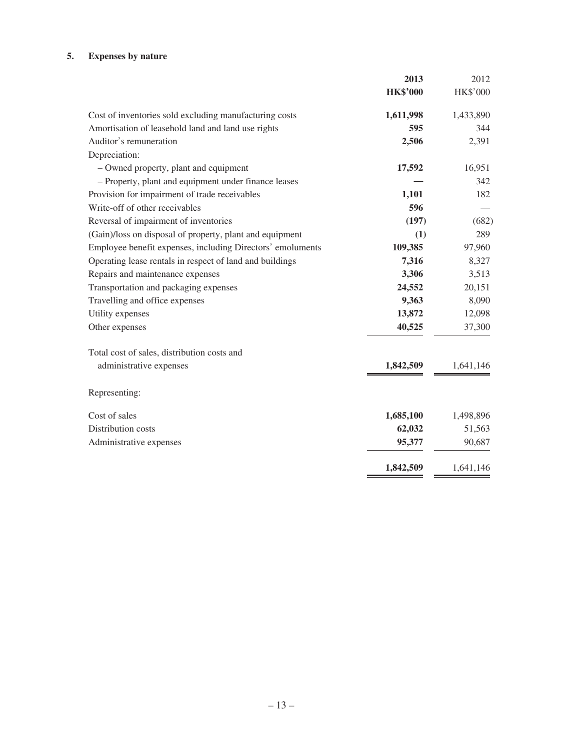# **5. Expenses by nature**

|                                                            | 2013            | 2012            |
|------------------------------------------------------------|-----------------|-----------------|
|                                                            | <b>HK\$'000</b> | <b>HK\$'000</b> |
| Cost of inventories sold excluding manufacturing costs     | 1,611,998       | 1,433,890       |
| Amortisation of leasehold land and land use rights         | 595             | 344             |
| Auditor's remuneration                                     | 2,506           | 2,391           |
| Depreciation:                                              |                 |                 |
| - Owned property, plant and equipment                      | 17,592          | 16,951          |
| - Property, plant and equipment under finance leases       |                 | 342             |
| Provision for impairment of trade receivables              | 1,101           | 182             |
| Write-off of other receivables                             | 596             |                 |
| Reversal of impairment of inventories                      | (197)           | (682)           |
| (Gain)/loss on disposal of property, plant and equipment   | (1)             | 289             |
| Employee benefit expenses, including Directors' emoluments | 109,385         | 97,960          |
| Operating lease rentals in respect of land and buildings   | 7,316           | 8,327           |
| Repairs and maintenance expenses                           | 3,306           | 3,513           |
| Transportation and packaging expenses                      | 24,552          | 20,151          |
| Travelling and office expenses                             | 9,363           | 8,090           |
| Utility expenses                                           | 13,872          | 12,098          |
| Other expenses                                             | 40,525          | 37,300          |
| Total cost of sales, distribution costs and                |                 |                 |
| administrative expenses                                    | 1,842,509       | 1,641,146       |
| Representing:                                              |                 |                 |
| Cost of sales                                              | 1,685,100       | 1,498,896       |
| Distribution costs                                         | 62,032          | 51,563          |
| Administrative expenses                                    | 95,377          | 90,687          |
|                                                            | 1,842,509       | 1,641,146       |
|                                                            |                 |                 |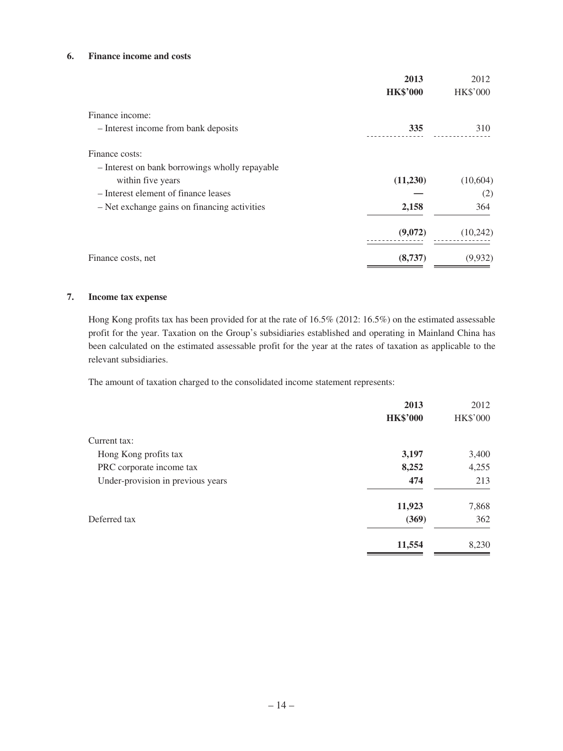## **6. Finance income and costs**

|                                                | 2013            | 2012            |
|------------------------------------------------|-----------------|-----------------|
|                                                | <b>HK\$'000</b> | <b>HK\$'000</b> |
| Finance income:                                |                 |                 |
| - Interest income from bank deposits           | 335             | 310             |
| Finance costs:                                 |                 |                 |
| - Interest on bank borrowings wholly repayable |                 |                 |
| within five years                              | (11,230)        | (10, 604)       |
| - Interest element of finance leases           |                 | (2)             |
| - Net exchange gains on financing activities   | 2,158           | 364             |
|                                                | (9,072)         | (10,242)        |
| Finance costs, net                             | (8,737)         | (9,932)         |

### **7. Income tax expense**

Hong Kong profits tax has been provided for at the rate of 16.5% (2012: 16.5%) on the estimated assessable profit for the year. Taxation on the Group's subsidiaries established and operating in Mainland China has been calculated on the estimated assessable profit for the year at the rates of taxation as applicable to the relevant subsidiaries.

The amount of taxation charged to the consolidated income statement represents:

|                                   | 2013            | 2012            |
|-----------------------------------|-----------------|-----------------|
|                                   | <b>HK\$'000</b> | <b>HK\$'000</b> |
| Current tax:                      |                 |                 |
| Hong Kong profits tax             | 3,197           | 3,400           |
| PRC corporate income tax          | 8,252           | 4,255           |
| Under-provision in previous years | 474             | 213             |
|                                   | 11,923          | 7,868           |
| Deferred tax                      | (369)           | 362             |
|                                   | 11,554          | 8,230           |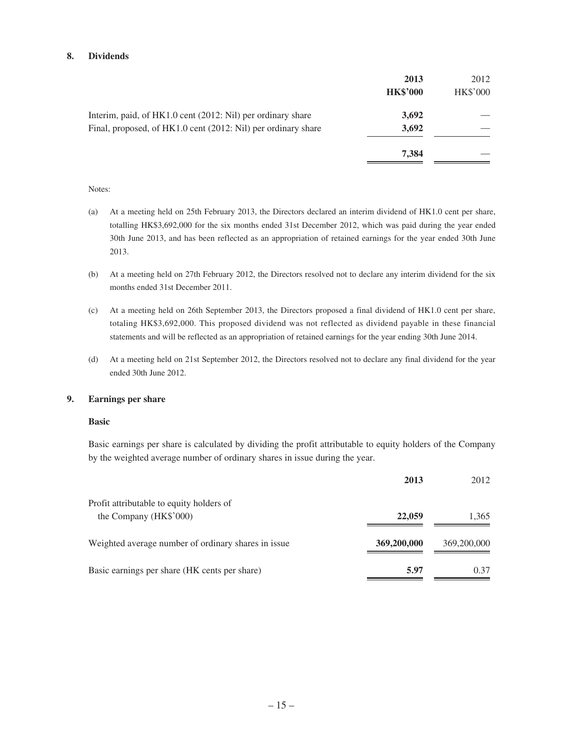### **8. Dividends**

|                                                               | 2013<br><b>HK\$'000</b> | 2012<br><b>HK\$'000</b> |
|---------------------------------------------------------------|-------------------------|-------------------------|
| Interim, paid, of HK1.0 cent (2012: Nil) per ordinary share   | 3,692                   |                         |
| Final, proposed, of HK1.0 cent (2012: Nil) per ordinary share | 3,692                   |                         |
|                                                               | 7,384                   |                         |

#### Notes:

- (a) At a meeting held on 25th February 2013, the Directors declared an interim dividend of HK1.0 cent per share, totalling HK\$3,692,000 for the six months ended 31st December 2012, which was paid during the year ended 30th June 2013, and has been reflected as an appropriation of retained earnings for the year ended 30th June 2013.
- (b) At a meeting held on 27th February 2012, the Directors resolved not to declare any interim dividend for the six months ended 31st December 2011.
- (c) At a meeting held on 26th September 2013, the Directors proposed a final dividend of HK1.0 cent per share, totaling HK\$3,692,000. This proposed dividend was not reflected as dividend payable in these financial statements and will be reflected as an appropriation of retained earnings for the year ending 30th June 2014.
- (d) At a meeting held on 21st September 2012, the Directors resolved not to declare any final dividend for the year ended 30th June 2012.

#### **9. Earnings per share**

#### **Basic**

Basic earnings per share is calculated by dividing the profit attributable to equity holders of the Company by the weighted average number of ordinary shares in issue during the year.

|                                                      | 2013        | 2012        |
|------------------------------------------------------|-------------|-------------|
| Profit attributable to equity holders of             |             |             |
| the Company (HK\$'000)                               | 22,059      | 1,365       |
| Weighted average number of ordinary shares in issue. | 369,200,000 | 369,200,000 |
| Basic earnings per share (HK cents per share)        | 5.97        | 0.37        |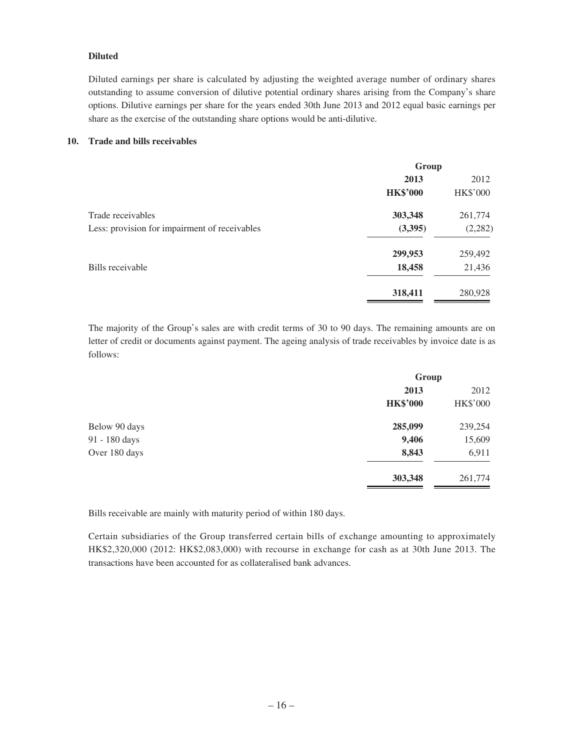## **Diluted**

Diluted earnings per share is calculated by adjusting the weighted average number of ordinary shares outstanding to assume conversion of dilutive potential ordinary shares arising from the Company's share options. Dilutive earnings per share for the years ended 30th June 2013 and 2012 equal basic earnings per share as the exercise of the outstanding share options would be anti-dilutive.

### **10. Trade and bills receivables**

|                                               | Group           |                 |
|-----------------------------------------------|-----------------|-----------------|
|                                               | 2013            | 2012            |
|                                               | <b>HK\$'000</b> | <b>HK\$'000</b> |
| Trade receivables                             | 303,348         | 261,774         |
| Less: provision for impairment of receivables | (3,395)         | (2, 282)        |
|                                               | 299,953         | 259,492         |
| Bills receivable                              | 18,458          | 21,436          |
|                                               | 318,411         | 280,928         |

The majority of the Group's sales are with credit terms of 30 to 90 days. The remaining amounts are on letter of credit or documents against payment. The ageing analysis of trade receivables by invoice date is as follows:

|               | Group           |                 |
|---------------|-----------------|-----------------|
|               | 2013            | 2012            |
|               | <b>HK\$'000</b> | <b>HK\$'000</b> |
| Below 90 days | 285,099         | 239,254         |
| 91 - 180 days | 9,406           | 15,609          |
| Over 180 days | 8,843           | 6,911           |
|               | 303,348         | 261,774         |

Bills receivable are mainly with maturity period of within 180 days.

Certain subsidiaries of the Group transferred certain bills of exchange amounting to approximately HK\$2,320,000 (2012: HK\$2,083,000) with recourse in exchange for cash as at 30th June 2013. The transactions have been accounted for as collateralised bank advances.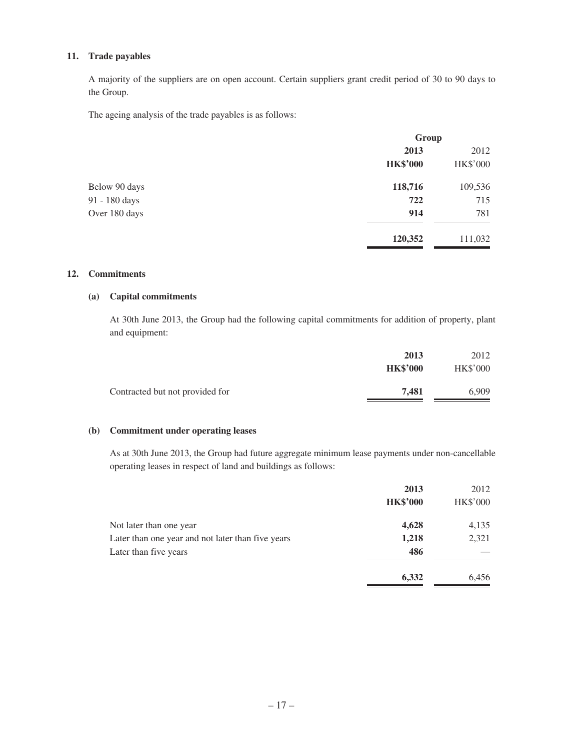## **11. Trade payables**

A majority of the suppliers are on open account. Certain suppliers grant credit period of 30 to 90 days to the Group.

The ageing analysis of the trade payables is as follows:

|               | Group           |                 |
|---------------|-----------------|-----------------|
|               | 2013            | 2012            |
|               | <b>HK\$'000</b> | <b>HK\$'000</b> |
| Below 90 days | 118,716         | 109,536         |
| 91 - 180 days | 722             | 715             |
| Over 180 days | 914             | 781             |
|               | 120,352         | 111,032         |

## **12. Commitments**

### **(a) Capital commitments**

At 30th June 2013, the Group had the following capital commitments for addition of property, plant and equipment:

| 2013            | 2012            |
|-----------------|-----------------|
| <b>HK\$'000</b> | <b>HK\$'000</b> |
| 7.481           | 6.909           |
|                 |                 |

## **(b) Commitment under operating leases**

As at 30th June 2013, the Group had future aggregate minimum lease payments under non-cancellable operating leases in respect of land and buildings as follows:

|                                                   | 2013            | 2012            |
|---------------------------------------------------|-----------------|-----------------|
|                                                   | <b>HK\$'000</b> | <b>HK\$'000</b> |
| Not later than one year                           | 4,628           | 4,135           |
| Later than one year and not later than five years | 1,218           | 2,321           |
| Later than five years                             | 486             |                 |
|                                                   | 6,332           | 6,456           |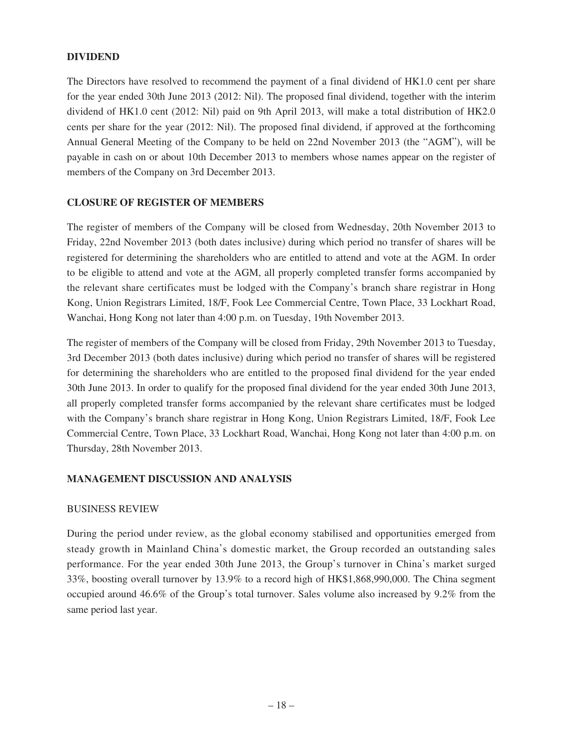# **DIVIDEND**

The Directors have resolved to recommend the payment of a final dividend of HK1.0 cent per share for the year ended 30th June 2013 (2012: Nil). The proposed final dividend, together with the interim dividend of HK1.0 cent (2012: Nil) paid on 9th April 2013, will make a total distribution of HK2.0 cents per share for the year (2012: Nil). The proposed final dividend, if approved at the forthcoming Annual General Meeting of the Company to be held on 22nd November 2013 (the "AGM"), will be payable in cash on or about 10th December 2013 to members whose names appear on the register of members of the Company on 3rd December 2013.

## **CLOSURE OF REGISTER OF MEMBERS**

The register of members of the Company will be closed from Wednesday, 20th November 2013 to Friday, 22nd November 2013 (both dates inclusive) during which period no transfer of shares will be registered for determining the shareholders who are entitled to attend and vote at the AGM. In order to be eligible to attend and vote at the AGM, all properly completed transfer forms accompanied by the relevant share certificates must be lodged with the Company's branch share registrar in Hong Kong, Union Registrars Limited, 18/F, Fook Lee Commercial Centre, Town Place, 33 Lockhart Road, Wanchai, Hong Kong not later than 4:00 p.m. on Tuesday, 19th November 2013.

The register of members of the Company will be closed from Friday, 29th November 2013 to Tuesday, 3rd December 2013 (both dates inclusive) during which period no transfer of shares will be registered for determining the shareholders who are entitled to the proposed final dividend for the year ended 30th June 2013. In order to qualify for the proposed final dividend for the year ended 30th June 2013, all properly completed transfer forms accompanied by the relevant share certificates must be lodged with the Company's branch share registrar in Hong Kong, Union Registrars Limited, 18/F, Fook Lee Commercial Centre, Town Place, 33 Lockhart Road, Wanchai, Hong Kong not later than 4:00 p.m. on Thursday, 28th November 2013.

## **MANAGEMENT DISCUSSION AND ANALYSIS**

## BUSINESS REVIEW

During the period under review, as the global economy stabilised and opportunities emerged from steady growth in Mainland China's domestic market, the Group recorded an outstanding sales performance. For the year ended 30th June 2013, the Group's turnover in China's market surged 33%, boosting overall turnover by 13.9% to a record high of HK\$1,868,990,000. The China segment occupied around 46.6% of the Group's total turnover. Sales volume also increased by 9.2% from the same period last year.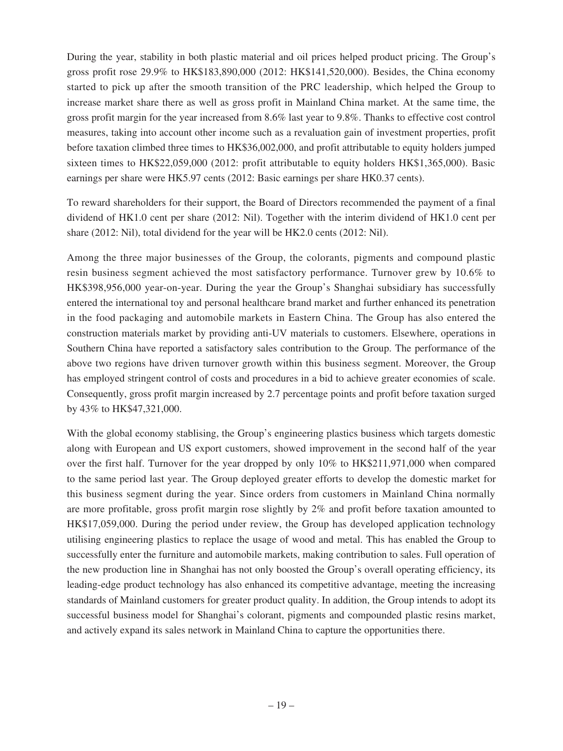During the year, stability in both plastic material and oil prices helped product pricing. The Group's gross profit rose 29.9% to HK\$183,890,000 (2012: HK\$141,520,000). Besides, the China economy started to pick up after the smooth transition of the PRC leadership, which helped the Group to increase market share there as well as gross profit in Mainland China market. At the same time, the gross profit margin for the year increased from 8.6% last year to 9.8%. Thanks to effective cost control measures, taking into account other income such as a revaluation gain of investment properties, profit before taxation climbed three times to HK\$36,002,000, and profit attributable to equity holders jumped sixteen times to HK\$22,059,000 (2012: profit attributable to equity holders HK\$1,365,000). Basic earnings per share were HK5.97 cents (2012: Basic earnings per share HK0.37 cents).

To reward shareholders for their support, the Board of Directors recommended the payment of a final dividend of HK1.0 cent per share (2012: Nil). Together with the interim dividend of HK1.0 cent per share (2012: Nil), total dividend for the year will be HK2.0 cents (2012: Nil).

Among the three major businesses of the Group, the colorants, pigments and compound plastic resin business segment achieved the most satisfactory performance. Turnover grew by 10.6% to HK\$398,956,000 year-on-year. During the year the Group's Shanghai subsidiary has successfully entered the international toy and personal healthcare brand market and further enhanced its penetration in the food packaging and automobile markets in Eastern China. The Group has also entered the construction materials market by providing anti-UV materials to customers. Elsewhere, operations in Southern China have reported a satisfactory sales contribution to the Group. The performance of the above two regions have driven turnover growth within this business segment. Moreover, the Group has employed stringent control of costs and procedures in a bid to achieve greater economies of scale. Consequently, gross profit margin increased by 2.7 percentage points and profit before taxation surged by 43% to HK\$47,321,000.

With the global economy stablising, the Group's engineering plastics business which targets domestic along with European and US export customers, showed improvement in the second half of the year over the first half. Turnover for the year dropped by only 10% to HK\$211,971,000 when compared to the same period last year. The Group deployed greater efforts to develop the domestic market for this business segment during the year. Since orders from customers in Mainland China normally are more profitable, gross profit margin rose slightly by 2% and profit before taxation amounted to HK\$17,059,000. During the period under review, the Group has developed application technology utilising engineering plastics to replace the usage of wood and metal. This has enabled the Group to successfully enter the furniture and automobile markets, making contribution to sales. Full operation of the new production line in Shanghai has not only boosted the Group's overall operating efficiency, its leading-edge product technology has also enhanced its competitive advantage, meeting the increasing standards of Mainland customers for greater product quality. In addition, the Group intends to adopt its successful business model for Shanghai's colorant, pigments and compounded plastic resins market, and actively expand its sales network in Mainland China to capture the opportunities there.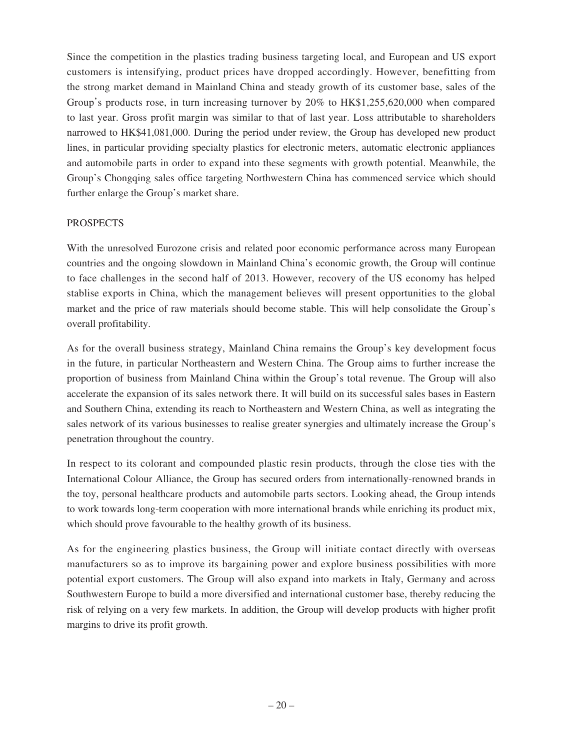Since the competition in the plastics trading business targeting local, and European and US export customers is intensifying, product prices have dropped accordingly. However, benefitting from the strong market demand in Mainland China and steady growth of its customer base, sales of the Group's products rose, in turn increasing turnover by 20% to HK\$1,255,620,000 when compared to last year. Gross profit margin was similar to that of last year. Loss attributable to shareholders narrowed to HK\$41,081,000. During the period under review, the Group has developed new product lines, in particular providing specialty plastics for electronic meters, automatic electronic appliances and automobile parts in order to expand into these segments with growth potential. Meanwhile, the Group's Chongqing sales office targeting Northwestern China has commenced service which should further enlarge the Group's market share.

# PROSPECTS

With the unresolved Eurozone crisis and related poor economic performance across many European countries and the ongoing slowdown in Mainland China's economic growth, the Group will continue to face challenges in the second half of 2013. However, recovery of the US economy has helped stablise exports in China, which the management believes will present opportunities to the global market and the price of raw materials should become stable. This will help consolidate the Group's overall profitability.

As for the overall business strategy, Mainland China remains the Group's key development focus in the future, in particular Northeastern and Western China. The Group aims to further increase the proportion of business from Mainland China within the Group's total revenue. The Group will also accelerate the expansion of its sales network there. It will build on its successful sales bases in Eastern and Southern China, extending its reach to Northeastern and Western China, as well as integrating the sales network of its various businesses to realise greater synergies and ultimately increase the Group's penetration throughout the country.

In respect to its colorant and compounded plastic resin products, through the close ties with the International Colour Alliance, the Group has secured orders from internationally-renowned brands in the toy, personal healthcare products and automobile parts sectors. Looking ahead, the Group intends to work towards long-term cooperation with more international brands while enriching its product mix, which should prove favourable to the healthy growth of its business.

As for the engineering plastics business, the Group will initiate contact directly with overseas manufacturers so as to improve its bargaining power and explore business possibilities with more potential export customers. The Group will also expand into markets in Italy, Germany and across Southwestern Europe to build a more diversified and international customer base, thereby reducing the risk of relying on a very few markets. In addition, the Group will develop products with higher profit margins to drive its profit growth.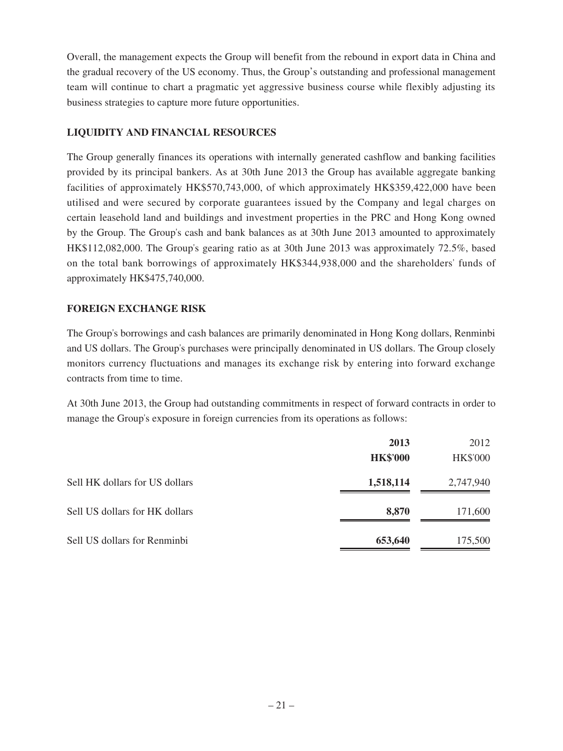Overall, the management expects the Group will benefit from the rebound in export data in China and the gradual recovery of the US economy. Thus, the Group's outstanding and professional management team will continue to chart a pragmatic yet aggressive business course while flexibly adjusting its business strategies to capture more future opportunities.

# **LIQUIDITY AND FINANCIAL RESOURCES**

The Group generally finances its operations with internally generated cashflow and banking facilities provided by its principal bankers. As at 30th June 2013 the Group has available aggregate banking facilities of approximately HK\$570,743,000, of which approximately HK\$359,422,000 have been utilised and were secured by corporate guarantees issued by the Company and legal charges on certain leasehold land and buildings and investment properties in the PRC and Hong Kong owned by the Group. The Group's cash and bank balances as at 30th June 2013 amounted to approximately HK\$112,082,000. The Group's gearing ratio as at 30th June 2013 was approximately 72.5%, based on the total bank borrowings of approximately HK\$344,938,000 and the shareholders' funds of approximately HK\$475,740,000.

# **FOREIGN EXCHANGE RISK**

The Group's borrowings and cash balances are primarily denominated in Hong Kong dollars, Renminbi and US dollars. The Group's purchases were principally denominated in US dollars. The Group closely monitors currency fluctuations and manages its exchange risk by entering into forward exchange contracts from time to time.

At 30th June 2013, the Group had outstanding commitments in respect of forward contracts in order to manage the Group's exposure in foreign currencies from its operations as follows:

|                                | 2013            | 2012            |
|--------------------------------|-----------------|-----------------|
|                                | <b>HK\$'000</b> | <b>HK\$'000</b> |
| Sell HK dollars for US dollars | 1,518,114       | 2,747,940       |
| Sell US dollars for HK dollars | 8,870           | 171,600         |
| Sell US dollars for Renminbi   | 653,640         | 175,500         |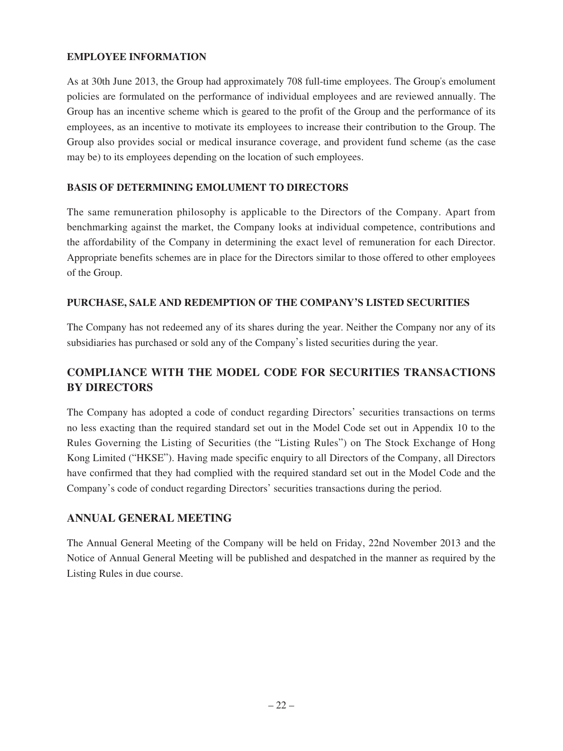# **EMPLOYEE INFORMATION**

As at 30th June 2013, the Group had approximately 708 full-time employees. The Group's emolument policies are formulated on the performance of individual employees and are reviewed annually. The Group has an incentive scheme which is geared to the profit of the Group and the performance of its employees, as an incentive to motivate its employees to increase their contribution to the Group. The Group also provides social or medical insurance coverage, and provident fund scheme (as the case may be) to its employees depending on the location of such employees.

# **BASIS OF DETERMINING EMOLUMENT TO DIRECTORS**

The same remuneration philosophy is applicable to the Directors of the Company. Apart from benchmarking against the market, the Company looks at individual competence, contributions and the affordability of the Company in determining the exact level of remuneration for each Director. Appropriate benefits schemes are in place for the Directors similar to those offered to other employees of the Group.

# **PURCHASE, SALE AND REDEMPTION OF THE COMPANY'S LISTED SECURITIES**

The Company has not redeemed any of its shares during the year. Neither the Company nor any of its subsidiaries has purchased or sold any of the Company's listed securities during the year.

# **COMPLIANCE WITH THE MODEL CODE FOR SECURITIES TRANSACTIONS BY DIRECTORS**

The Company has adopted a code of conduct regarding Directors' securities transactions on terms no less exacting than the required standard set out in the Model Code set out in Appendix 10 to the Rules Governing the Listing of Securities (the "Listing Rules") on The Stock Exchange of Hong Kong Limited ("HKSE"). Having made specific enquiry to all Directors of the Company, all Directors have confirmed that they had complied with the required standard set out in the Model Code and the Company's code of conduct regarding Directors' securities transactions during the period.

# **ANNUAL GENERAL MEETING**

The Annual General Meeting of the Company will be held on Friday, 22nd November 2013 and the Notice of Annual General Meeting will be published and despatched in the manner as required by the Listing Rules in due course.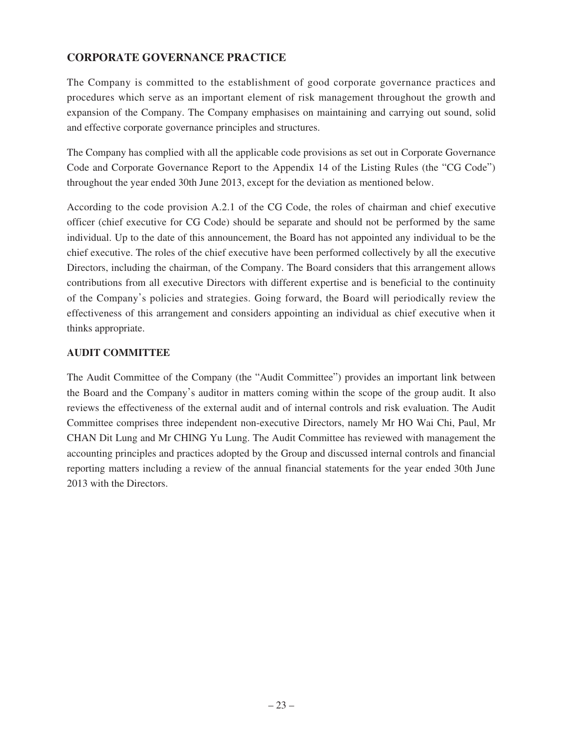# **CORPORATE GOVERNANCE PRACTICE**

The Company is committed to the establishment of good corporate governance practices and procedures which serve as an important element of risk management throughout the growth and expansion of the Company. The Company emphasises on maintaining and carrying out sound, solid and effective corporate governance principles and structures.

The Company has complied with all the applicable code provisions as set out in Corporate Governance Code and Corporate Governance Report to the Appendix 14 of the Listing Rules (the "CG Code") throughout the year ended 30th June 2013, except for the deviation as mentioned below.

According to the code provision A.2.1 of the CG Code, the roles of chairman and chief executive officer (chief executive for CG Code) should be separate and should not be performed by the same individual. Up to the date of this announcement, the Board has not appointed any individual to be the chief executive. The roles of the chief executive have been performed collectively by all the executive Directors, including the chairman, of the Company. The Board considers that this arrangement allows contributions from all executive Directors with different expertise and is beneficial to the continuity of the Company's policies and strategies. Going forward, the Board will periodically review the effectiveness of this arrangement and considers appointing an individual as chief executive when it thinks appropriate.

# **AUDIT COMMITTEE**

The Audit Committee of the Company (the "Audit Committee") provides an important link between the Board and the Company's auditor in matters coming within the scope of the group audit. It also reviews the effectiveness of the external audit and of internal controls and risk evaluation. The Audit Committee comprises three independent non-executive Directors, namely Mr HO Wai Chi, Paul, Mr CHAN Dit Lung and Mr CHING Yu Lung. The Audit Committee has reviewed with management the accounting principles and practices adopted by the Group and discussed internal controls and financial reporting matters including a review of the annual financial statements for the year ended 30th June 2013 with the Directors.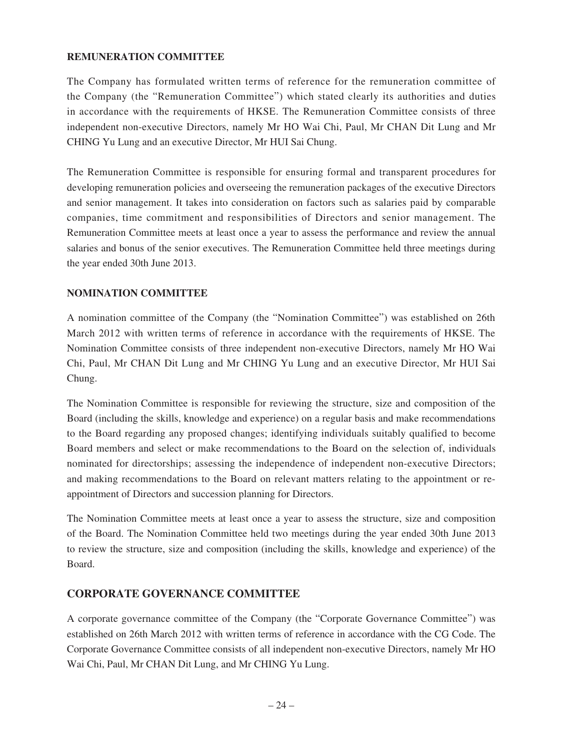# **REMUNERATION COMMITTEE**

The Company has formulated written terms of reference for the remuneration committee of the Company (the "Remuneration Committee") which stated clearly its authorities and duties in accordance with the requirements of HKSE. The Remuneration Committee consists of three independent non-executive Directors, namely Mr HO Wai Chi, Paul, Mr CHAN Dit Lung and Mr CHING Yu Lung and an executive Director, Mr HUI Sai Chung.

The Remuneration Committee is responsible for ensuring formal and transparent procedures for developing remuneration policies and overseeing the remuneration packages of the executive Directors and senior management. It takes into consideration on factors such as salaries paid by comparable companies, time commitment and responsibilities of Directors and senior management. The Remuneration Committee meets at least once a year to assess the performance and review the annual salaries and bonus of the senior executives. The Remuneration Committee held three meetings during the year ended 30th June 2013.

# **NOMINATION COMMITTEE**

A nomination committee of the Company (the "Nomination Committee") was established on 26th March 2012 with written terms of reference in accordance with the requirements of HKSE. The Nomination Committee consists of three independent non-executive Directors, namely Mr HO Wai Chi, Paul, Mr CHAN Dit Lung and Mr CHING Yu Lung and an executive Director, Mr HUI Sai Chung.

The Nomination Committee is responsible for reviewing the structure, size and composition of the Board (including the skills, knowledge and experience) on a regular basis and make recommendations to the Board regarding any proposed changes; identifying individuals suitably qualified to become Board members and select or make recommendations to the Board on the selection of, individuals nominated for directorships; assessing the independence of independent non-executive Directors; and making recommendations to the Board on relevant matters relating to the appointment or reappointment of Directors and succession planning for Directors.

The Nomination Committee meets at least once a year to assess the structure, size and composition of the Board. The Nomination Committee held two meetings during the year ended 30th June 2013 to review the structure, size and composition (including the skills, knowledge and experience) of the Board.

# **CORPORATE GOVERNANCE COMMITTEE**

A corporate governance committee of the Company (the "Corporate Governance Committee") was established on 26th March 2012 with written terms of reference in accordance with the CG Code. The Corporate Governance Committee consists of all independent non-executive Directors, namely Mr HO Wai Chi, Paul, Mr CHAN Dit Lung, and Mr CHING Yu Lung.